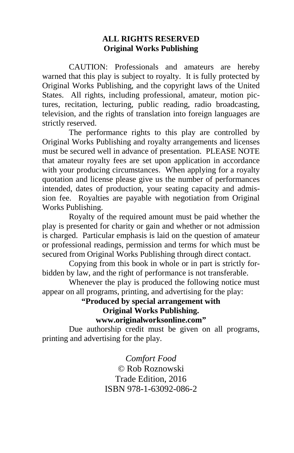#### **ALL RIGHTS RESERVED Original Works Publishing**

 CAUTION: Professionals and amateurs are hereby warned that this play is subject to royalty. It is fully protected by Original Works Publishing, and the copyright laws of the United States. All rights, including professional, amateur, motion pictures, recitation, lecturing, public reading, radio broadcasting, television, and the rights of translation into foreign languages are strictly reserved.

 The performance rights to this play are controlled by Original Works Publishing and royalty arrangements and licenses must be secured well in advance of presentation. PLEASE NOTE that amateur royalty fees are set upon application in accordance with your producing circumstances. When applying for a royalty quotation and license please give us the number of performances intended, dates of production, your seating capacity and admission fee. Royalties are payable with negotiation from Original Works Publishing.

 Royalty of the required amount must be paid whether the play is presented for charity or gain and whether or not admission is charged. Particular emphasis is laid on the question of amateur or professional readings, permission and terms for which must be secured from Original Works Publishing through direct contact.

 Copying from this book in whole or in part is strictly forbidden by law, and the right of performance is not transferable.

 Whenever the play is produced the following notice must appear on all programs, printing, and advertising for the play:

#### **"Produced by special arrangement with Original Works Publishing. www.originalworksonline.com"**

 Due authorship credit must be given on all programs, printing and advertising for the play.

> *Comfort Food ©* Rob Roznowski Trade Edition, 2016 ISBN 978-1-63092-086-2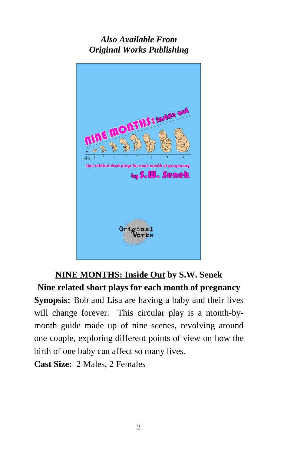# *Also Available From Original Works Publishing*



# **NINE MONTHS: Inside Out by S.W. Senek Nine related short plays for each month of pregnancy Synopsis:** Bob and Lisa are having a baby and their lives

will change forever. This circular play is a month-bymonth guide made up of nine scenes, revolving around one couple, exploring different points of view on how the birth of one baby can affect so many lives.

**Cast Size:** 2 Males, 2 Females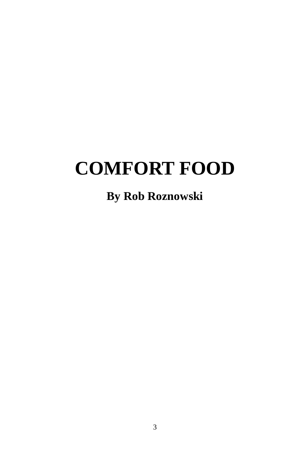# **COMFORT FOOD**

# **By Rob Roznowski**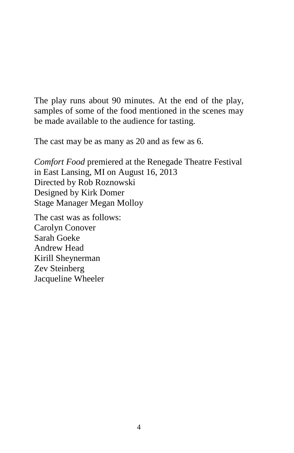The play runs about 90 minutes. At the end of the play, samples of some of the food mentioned in the scenes may be made available to the audience for tasting.

The cast may be as many as 20 and as few as 6.

*Comfort Food* premiered at the Renegade Theatre Festival in East Lansing, MI on August 16, 2013 Directed by Rob Roznowski Designed by Kirk Domer Stage Manager Megan Molloy

The cast was as follows: Carolyn Conover Sarah Goeke Andrew Head Kirill Sheynerman Zev Steinberg Jacqueline Wheeler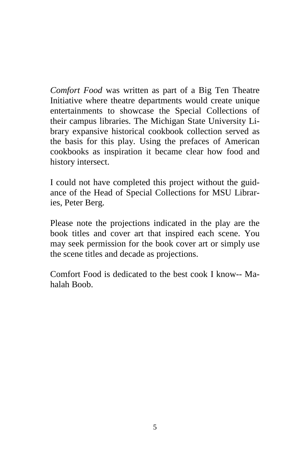*Comfort Food* was written as part of a Big Ten Theatre Initiative where theatre departments would create unique entertainments to showcase the Special Collections of their campus libraries. The Michigan State University Library expansive historical cookbook collection served as the basis for this play. Using the prefaces of American cookbooks as inspiration it became clear how food and history intersect.

I could not have completed this project without the guidance of the Head of Special Collections for MSU Libraries, Peter Berg.

Please note the projections indicated in the play are the book titles and cover art that inspired each scene. You may seek permission for the book cover art or simply use the scene titles and decade as projections.

Comfort Food is dedicated to the best cook I know-- Mahalah Boob.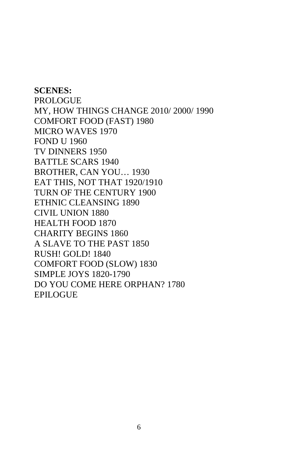**SCENES:**  PROLOGUE MY, HOW THINGS CHANGE 2010/ 2000/ 1990 COMFORT FOOD (FAST) 1980 MICRO WAVES 1970 FOND U 1960 TV DINNERS 1950 BATTLE SCARS 1940 BROTHER, CAN YOU… 1930 EAT THIS, NOT THAT 1920/1910 TURN OF THE CENTURY 1900 ETHNIC CLEANSING 1890 CIVIL UNION 1880 HEALTH FOOD 1870 CHARITY BEGINS 1860 A SLAVE TO THE PAST 1850 RUSH! GOLD! 1840 COMFORT FOOD (SLOW) 1830 SIMPLE JOYS 1820-1790 DO YOU COME HERE ORPHAN? 1780 EPILOGUE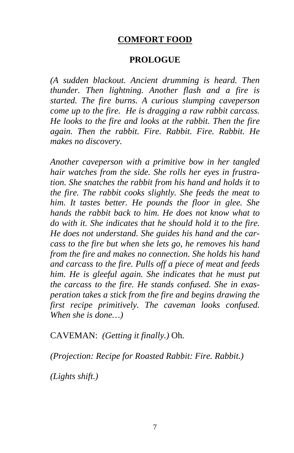### **COMFORT FOOD**

#### **PROLOGUE**

*(A sudden blackout. Ancient drumming is heard. Then thunder. Then lightning. Another flash and a fire is started. The fire burns. A curious slumping caveperson come up to the fire. He is dragging a raw rabbit carcass. He looks to the fire and looks at the rabbit. Then the fire again. Then the rabbit. Fire. Rabbit. Fire. Rabbit. He makes no discovery.*

*Another caveperson with a primitive bow in her tangled hair watches from the side. She rolls her eyes in frustration. She snatches the rabbit from his hand and holds it to the fire. The rabbit cooks slightly. She feeds the meat to him. It tastes better. He pounds the floor in glee. She hands the rabbit back to him. He does not know what to do with it. She indicates that he should hold it to the fire. He does not understand. She guides his hand and the carcass to the fire but when she lets go, he removes his hand from the fire and makes no connection. She holds his hand and carcass to the fire. Pulls off a piece of meat and feeds him. He is gleeful again. She indicates that he must put the carcass to the fire. He stands confused. She in exasperation takes a stick from the fire and begins drawing the first recipe primitively. The caveman looks confused. When she is done…)* 

CAVEMAN: *(Getting it finally.)* Oh.

*(Projection: Recipe for Roasted Rabbit: Fire. Rabbit.)* 

*(Lights shift.)*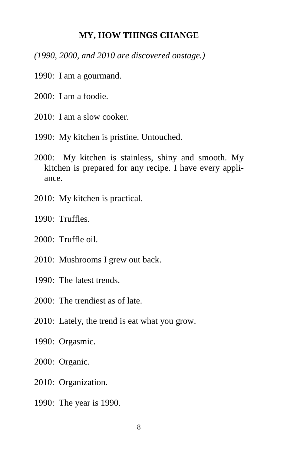#### **MY, HOW THINGS CHANGE**

*(1990, 2000, and 2010 are discovered onstage.)* 

- 1990: I am a gourmand.
- 2000: I am a foodie.
- 2010: I am a slow cooker.
- 1990: My kitchen is pristine. Untouched.
- 2000: My kitchen is stainless, shiny and smooth. My kitchen is prepared for any recipe. I have every appliance.
- 2010: My kitchen is practical.
- 1990: Truffles.
- 2000: Truffle oil.
- 2010: Mushrooms I grew out back.
- 1990: The latest trends.
- 2000: The trendiest as of late.
- 2010: Lately, the trend is eat what you grow.
- 1990: Orgasmic.
- 2000: Organic.
- 2010: Organization.
- 1990: The year is 1990.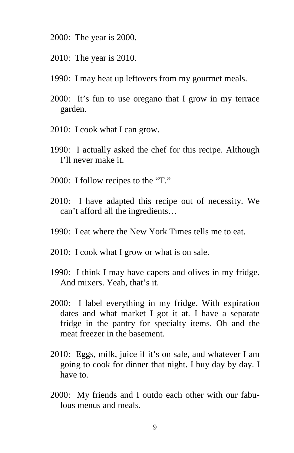- 2000: The year is 2000.
- 2010: The year is 2010.
- 1990: I may heat up leftovers from my gourmet meals.
- 2000: It's fun to use oregano that I grow in my terrace garden.
- 2010: I cook what I can grow.
- 1990: I actually asked the chef for this recipe. Although I'll never make it.
- 2000: I follow recipes to the "T."
- 2010: I have adapted this recipe out of necessity. We can't afford all the ingredients…
- 1990: I eat where the New York Times tells me to eat.
- 2010: I cook what I grow or what is on sale.
- 1990: I think I may have capers and olives in my fridge. And mixers. Yeah, that's it.
- 2000: I label everything in my fridge. With expiration dates and what market I got it at. I have a separate fridge in the pantry for specialty items. Oh and the meat freezer in the basement.
- 2010: Eggs, milk, juice if it's on sale, and whatever I am going to cook for dinner that night. I buy day by day. I have to.
- 2000: My friends and I outdo each other with our fabulous menus and meals.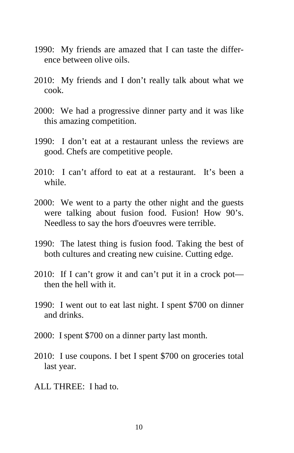- 1990: My friends are amazed that I can taste the difference between olive oils.
- 2010: My friends and I don't really talk about what we cook.
- 2000: We had a progressive dinner party and it was like this amazing competition.
- 1990: I don't eat at a restaurant unless the reviews are good. Chefs are competitive people.
- 2010: I can't afford to eat at a restaurant. It's been a while.
- 2000: We went to a party the other night and the guests were talking about fusion food. Fusion! How 90's. Needless to say the hors d'oeuvres were terrible.
- 1990: The latest thing is fusion food. Taking the best of both cultures and creating new cuisine. Cutting edge.
- 2010: If I can't grow it and can't put it in a crock pot then the hell with it.
- 1990: I went out to eat last night. I spent \$700 on dinner and drinks.
- 2000: I spent \$700 on a dinner party last month.
- 2010: I use coupons. I bet I spent \$700 on groceries total last year.
- ALL THREE: I had to.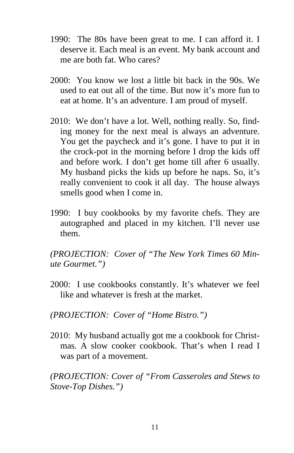- 1990: The 80s have been great to me. I can afford it. I deserve it. Each meal is an event. My bank account and me are both fat. Who cares?
- 2000: You know we lost a little bit back in the 90s. We used to eat out all of the time. But now it's more fun to eat at home. It's an adventure. I am proud of myself.
- 2010: We don't have a lot. Well, nothing really. So, finding money for the next meal is always an adventure. You get the paycheck and it's gone. I have to put it in the crock-pot in the morning before I drop the kids off and before work. I don't get home till after 6 usually. My husband picks the kids up before he naps. So, it's really convenient to cook it all day. The house always smells good when I come in.
- 1990: I buy cookbooks by my favorite chefs. They are autographed and placed in my kitchen. I'll never use them.

*(PROJECTION: Cover of "The New York Times 60 Minute Gourmet.")*

- 2000: I use cookbooks constantly. It's whatever we feel like and whatever is fresh at the market.
- *(PROJECTION: Cover of "Home Bistro.")*
- 2010: My husband actually got me a cookbook for Christmas. A slow cooker cookbook. That's when I read I was part of a movement.

*(PROJECTION: Cover of "From Casseroles and Stews to Stove-Top Dishes.")*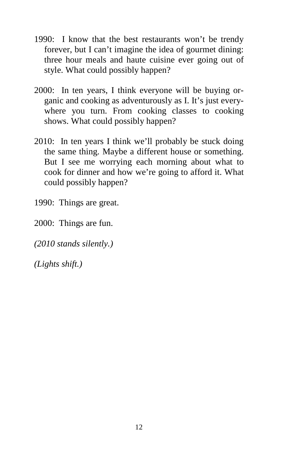- 1990: I know that the best restaurants won't be trendy forever, but I can't imagine the idea of gourmet dining: three hour meals and haute cuisine ever going out of style. What could possibly happen?
- 2000: In ten years, I think everyone will be buying organic and cooking as adventurously as I. It's just everywhere you turn. From cooking classes to cooking shows. What could possibly happen?
- 2010: In ten years I think we'll probably be stuck doing the same thing. Maybe a different house or something. But I see me worrying each morning about what to cook for dinner and how we're going to afford it. What could possibly happen?
- 1990: Things are great.
- 2000: Things are fun.
- *(2010 stands silently.)*
- *(Lights shift.)*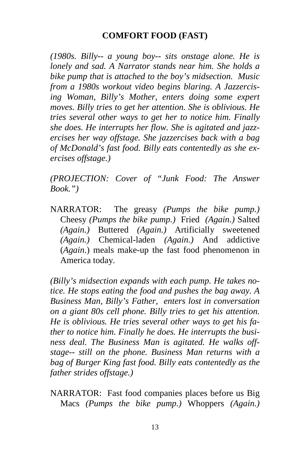## **COMFORT FOOD (FAST)**

*(1980s. Billy-- a young boy-- sits onstage alone. He is lonely and sad. A Narrator stands near him. She holds a bike pump that is attached to the boy's midsection. Music from a 1980s workout video begins blaring. A Jazzercising Woman, Billy's Mother, enters doing some expert moves. Billy tries to get her attention. She is oblivious. He tries several other ways to get her to notice him. Finally she does. He interrupts her flow. She is agitated and jazzercises her way offstage. She jazzercises back with a bag of McDonald's fast food. Billy eats contentedly as she exercises offstage.)* 

*(PROJECTION: Cover of "Junk Food: The Answer Book.")* 

NARRATOR: The greasy *(Pumps the bike pump.)* Cheesy *(Pumps the bike pump.)* Fried *(Again.)* Salted *(Again.)* Buttered *(Again.)* Artificially sweetened *(Again.)* Chemical-laden *(Again.)* And addictive (*Again*.) meals make-up the fast food phenomenon in America today.

*(Billy's midsection expands with each pump. He takes notice. He stops eating the food and pushes the bag away. A Business Man, Billy's Father, enters lost in conversation on a giant 80s cell phone. Billy tries to get his attention. He is oblivious. He tries several other ways to get his father to notice him. Finally he does. He interrupts the business deal. The Business Man is agitated. He walks offstage-- still on the phone. Business Man returns with a bag of Burger King fast food. Billy eats contentedly as the father strides offstage.)* 

NARRATOR: Fast food companies places before us Big Macs *(Pumps the bike pump.)* Whoppers *(Again.)*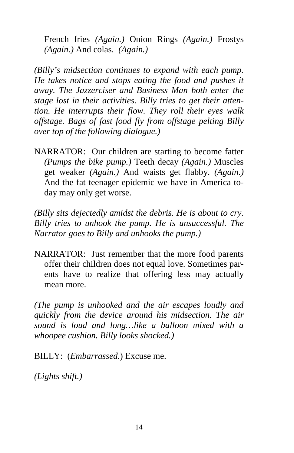French fries *(Again.)* Onion Rings *(Again.)* Frostys *(Again.)* And colas. *(Again.)*

*(Billy's midsection continues to expand with each pump. He takes notice and stops eating the food and pushes it away. The Jazzerciser and Business Man both enter the stage lost in their activities. Billy tries to get their attention. He interrupts their flow. They roll their eyes walk offstage. Bags of fast food fly from offstage pelting Billy over top of the following dialogue.)* 

NARRATOR: Our children are starting to become fatter *(Pumps the bike pump.)* Teeth decay *(Again.)* Muscles get weaker *(Again.)* And waists get flabby. *(Again.)* And the fat teenager epidemic we have in America today may only get worse.

*(Billy sits dejectedly amidst the debris. He is about to cry. Billy tries to unhook the pump. He is unsuccessful. The Narrator goes to Billy and unhooks the pump.)* 

NARRATOR: Just remember that the more food parents offer their children does not equal love. Sometimes parents have to realize that offering less may actually mean more.

*(The pump is unhooked and the air escapes loudly and quickly from the device around his midsection. The air sound is loud and long…like a balloon mixed with a whoopee cushion. Billy looks shocked.)* 

BILLY: (*Embarrassed.*) Excuse me.

*(Lights shift.)*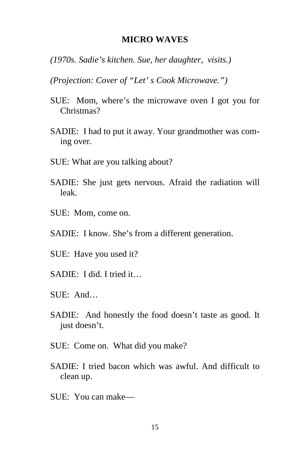#### **MICRO WAVES**

- *(1970s. Sadie's kitchen. Sue, her daughter, visits.)*
- *(Projection: Cover of "Let' s Cook Microwave.")*
- SUE: Mom, where's the microwave oven I got you for Christmas?
- SADIE: I had to put it away. Your grandmother was coming over.
- SUE: What are you talking about?
- SADIE: She just gets nervous. Afraid the radiation will leak.
- SUE: Mom, come on.
- SADIE: I know. She's from a different generation.
- SUE: Have you used it?
- SADIE: I did. I tried it…
- SUE: And…
- SADIE: And honestly the food doesn't taste as good. It just doesn't.
- SUE: Come on. What did you make?
- SADIE: I tried bacon which was awful. And difficult to clean up.
- SUE: You can make—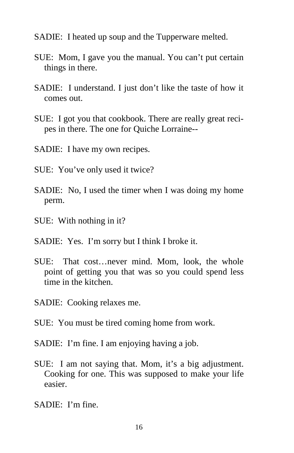- SADIE: I heated up soup and the Tupperware melted.
- SUE: Mom, I gave you the manual. You can't put certain things in there.
- SADIE: I understand. I just don't like the taste of how it comes out.
- SUE: I got you that cookbook. There are really great recipes in there. The one for Quiche Lorraine--
- SADIE: I have my own recipes.
- SUE: You've only used it twice?
- SADIE: No, I used the timer when I was doing my home perm.
- SUE: With nothing in it?
- SADIE: Yes. I'm sorry but I think I broke it.
- SUE: That cost…never mind. Mom, look, the whole point of getting you that was so you could spend less time in the kitchen.
- SADIE: Cooking relaxes me.
- SUE: You must be tired coming home from work.
- SADIE: I'm fine. I am enjoying having a job.
- SUE: I am not saying that. Mom, it's a big adjustment. Cooking for one. This was supposed to make your life easier.
- SADIE: I'm fine.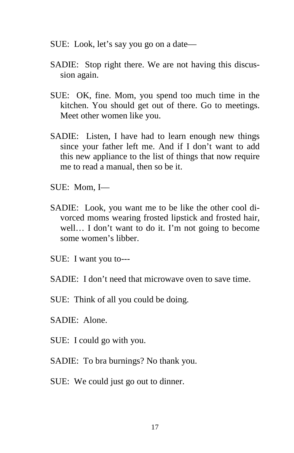- SUE: Look, let's say you go on a date—
- SADIE: Stop right there. We are not having this discussion again.
- SUE: OK, fine. Mom, you spend too much time in the kitchen. You should get out of there. Go to meetings. Meet other women like you.
- SADIE: Listen, I have had to learn enough new things since your father left me. And if I don't want to add this new appliance to the list of things that now require me to read a manual, then so be it.
- SUE: Mom, I—
- SADIE: Look, you want me to be like the other cool divorced moms wearing frosted lipstick and frosted hair, well… I don't want to do it. I'm not going to become some women's libber.
- SUE: I want you to---
- SADIE: I don't need that microwave oven to save time.
- SUE: Think of all you could be doing.
- SADIE: Alone.
- SUE: I could go with you.
- SADIE: To bra burnings? No thank you.
- SUE: We could just go out to dinner.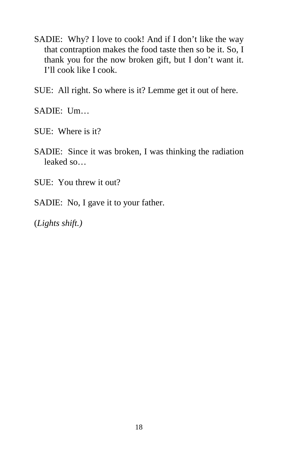- SADIE: Why? I love to cook! And if I don't like the way that contraption makes the food taste then so be it. So, I thank you for the now broken gift, but I don't want it. I'll cook like I cook.
- SUE: All right. So where is it? Lemme get it out of here.

SADIE: Um…

- SUE: Where is it?
- SADIE: Since it was broken, I was thinking the radiation leaked so…
- SUE: You threw it out?
- SADIE: No, I gave it to your father.

(*Lights shift.)*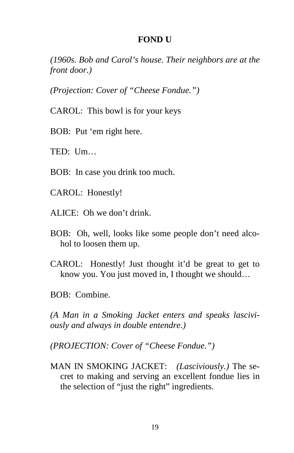#### **FOND U**

*(1960s. Bob and Carol's house. Their neighbors are at the front door.)* 

*(Projection: Cover of "Cheese Fondue.")* 

CAROL: This bowl is for your keys

BOB: Put 'em right here.

TED: Um…

BOB: In case you drink too much.

CAROL: Honestly!

ALICE: Oh we don't drink.

- BOB: Oh, well, looks like some people don't need alcohol to loosen them up.
- CAROL: Honestly! Just thought it'd be great to get to know you. You just moved in, I thought we should…
- BOB: Combine.

*(A Man in a Smoking Jacket enters and speaks lasciviously and always in double entendre.)* 

*(PROJECTION: Cover of "Cheese Fondue.")* 

MAN IN SMOKING JACKET: *(Lasciviously.)* The secret to making and serving an excellent fondue lies in the selection of "just the right" ingredients.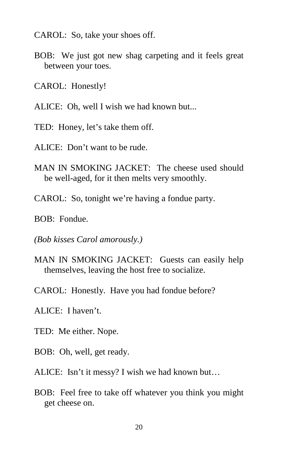- CAROL: So, take your shoes off.
- BOB: We just got new shag carpeting and it feels great between your toes.
- CAROL: Honestly!
- ALICE: Oh, well I wish we had known but...
- TED: Honey, let's take them off.
- ALICE: Don't want to be rude.
- MAN IN SMOKING JACKET: The cheese used should be well-aged, for it then melts very smoothly.
- CAROL: So, tonight we're having a fondue party.
- BOB: Fondue.
- *(Bob kisses Carol amorously.)*
- MAN IN SMOKING JACKET: Guests can easily help themselves, leaving the host free to socialize.
- CAROL: Honestly. Have you had fondue before?
- ALICE: I haven't.
- TED: Me either. Nope.
- BOB: Oh, well, get ready.
- ALICE: Isn't it messy? I wish we had known but…
- BOB: Feel free to take off whatever you think you might get cheese on.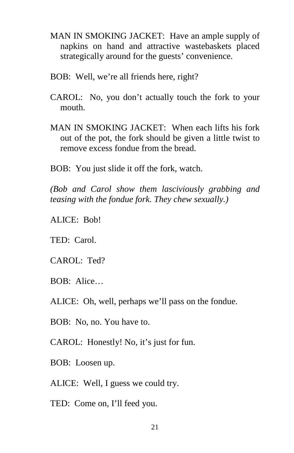- MAN IN SMOKING JACKET: Have an ample supply of napkins on hand and attractive wastebaskets placed strategically around for the guests' convenience.
- BOB: Well, we're all friends here, right?
- CAROL: No, you don't actually touch the fork to your mouth.
- MAN IN SMOKING JACKET: When each lifts his fork out of the pot, the fork should be given a little twist to remove excess fondue from the bread.
- BOB: You just slide it off the fork, watch.

*(Bob and Carol show them lasciviously grabbing and teasing with the fondue fork. They chew sexually.)* 

ALICE: Bob!

TED: Carol.

- CAROL: Ted?
- BOB: Alice…

ALICE: Oh, well, perhaps we'll pass on the fondue.

BOB: No, no. You have to.

CAROL: Honestly! No, it's just for fun.

BOB: Loosen up.

ALICE: Well, I guess we could try.

TED: Come on, I'll feed you.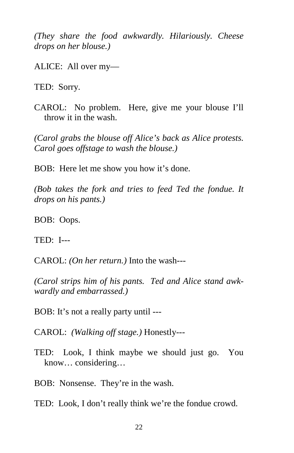*(They share the food awkwardly. Hilariously. Cheese drops on her blouse.)* 

ALICE: All over my—

TED: Sorry.

CAROL: No problem. Here, give me your blouse I'll throw it in the wash.

*(Carol grabs the blouse off Alice's back as Alice protests. Carol goes offstage to wash the blouse.)* 

BOB: Here let me show you how it's done.

*(Bob takes the fork and tries to feed Ted the fondue. It drops on his pants.)* 

BOB: Oops.

TED: I---

CAROL: *(On her return.)* Into the wash---

*(Carol strips him of his pants. Ted and Alice stand awkwardly and embarrassed.)* 

BOB: It's not a really party until ---

CAROL: *(Walking off stage.)* Honestly---

TED: Look, I think maybe we should just go. You know… considering…

BOB: Nonsense. They're in the wash.

TED: Look, I don't really think we're the fondue crowd.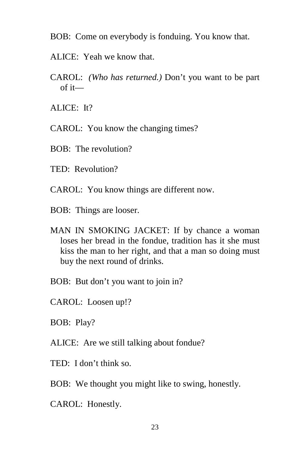- BOB: Come on everybody is fonduing. You know that.
- ALICE: Yeah we know that.
- CAROL: *(Who has returned.)* Don't you want to be part of it—
- ALICE: It?
- CAROL: You know the changing times?
- BOB: The revolution?
- TED: Revolution?
- CAROL: You know things are different now.
- BOB: Things are looser.
- MAN IN SMOKING JACKET: If by chance a woman loses her bread in the fondue, tradition has it she must kiss the man to her right, and that a man so doing must buy the next round of drinks.
- BOB: But don't you want to join in?
- CAROL: Loosen up!?
- BOB: Play?
- ALICE: Are we still talking about fondue?
- TED: I don't think so.
- BOB: We thought you might like to swing, honestly.
- CAROL: Honestly.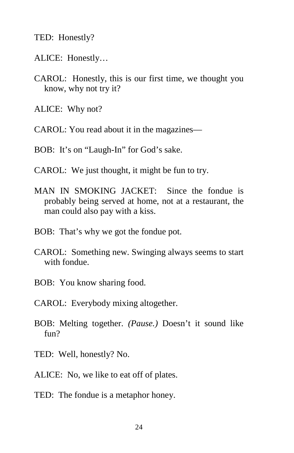TED: Honestly?

- ALICE: Honestly…
- CAROL: Honestly, this is our first time, we thought you know, why not try it?
- ALICE: Why not?
- CAROL: You read about it in the magazines—
- BOB: It's on "Laugh-In" for God's sake.
- CAROL: We just thought, it might be fun to try.
- MAN IN SMOKING JACKET: Since the fondue is probably being served at home, not at a restaurant, the man could also pay with a kiss.
- BOB: That's why we got the fondue pot.
- CAROL: Something new. Swinging always seems to start with fondue.
- BOB: You know sharing food.
- CAROL: Everybody mixing altogether.
- BOB: Melting together. *(Pause.)* Doesn't it sound like fun?
- TED: Well, honestly? No.
- ALICE: No, we like to eat off of plates.
- TED: The fondue is a metaphor honey.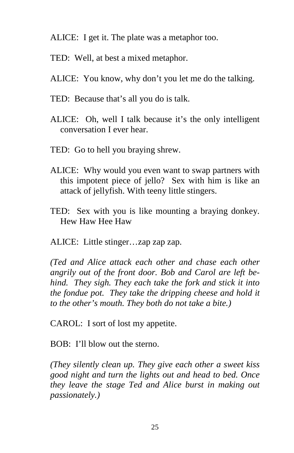- ALICE: I get it. The plate was a metaphor too.
- TED: Well, at best a mixed metaphor.
- ALICE: You know, why don't you let me do the talking.
- TED: Because that's all you do is talk.
- ALICE: Oh, well I talk because it's the only intelligent conversation I ever hear.
- TED: Go to hell you braying shrew.
- ALICE: Why would you even want to swap partners with this impotent piece of jello? Sex with him is like an attack of jellyfish. With teeny little stingers.
- TED: Sex with you is like mounting a braying donkey. Hew Haw Hee Haw
- ALICE: Little stinger…zap zap zap.

*(Ted and Alice attack each other and chase each other angrily out of the front door. Bob and Carol are left behind. They sigh. They each take the fork and stick it into the fondue pot. They take the dripping cheese and hold it to the other's mouth. They both do not take a bite.)* 

CAROL: I sort of lost my appetite.

BOB: I'll blow out the sterno.

*(They silently clean up. They give each other a sweet kiss good night and turn the lights out and head to bed. Once they leave the stage Ted and Alice burst in making out passionately.)*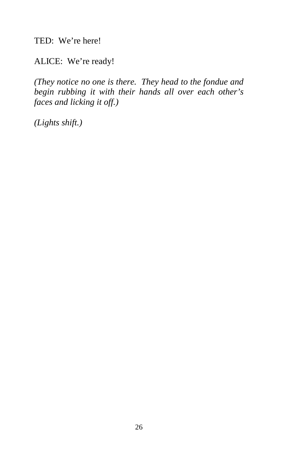TED: We're here!

ALICE: We're ready!

*(They notice no one is there. They head to the fondue and begin rubbing it with their hands all over each other's faces and licking it off.)* 

*(Lights shift.)*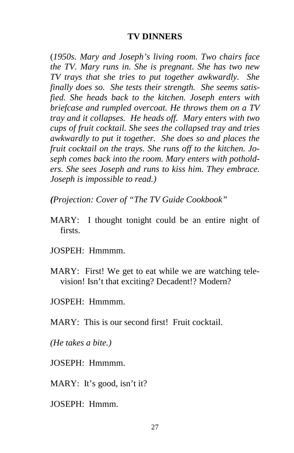#### **TV DINNERS**

(*1950s. Mary and Joseph's living room. Two chairs face the TV. Mary runs in. She is pregnant. She has two new TV trays that she tries to put together awkwardly. She finally does so. She tests their strength. She seems satisfied. She heads back to the kitchen. Joseph enters with briefcase and rumpled overcoat. He throws them on a TV tray and it collapses. He heads off. Mary enters with two cups of fruit cocktail. She sees the collapsed tray and tries awkwardly to put it together. She does so and places the fruit cocktail on the trays. She runs off to the kitchen. Joseph comes back into the room. Mary enters with potholders. She sees Joseph and runs to kiss him. They embrace. Joseph is impossible to read.)* 

*(Projection: Cover of "The TV Guide Cookbook"* 

- MARY: I thought tonight could be an entire night of firsts.
- JOSPEH: Hmmmm.
- MARY: First! We get to eat while we are watching television! Isn't that exciting? Decadent!? Modern?
- JOSPEH: Hmmmm.

MARY: This is our second first! Fruit cocktail.

*(He takes a bite.)* 

JOSEPH: Hmmmm.

MARY: It's good, isn't it?

JOSEPH: Hmmm.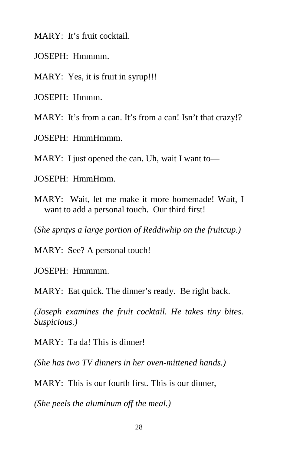MARY: It's fruit cocktail.

JOSEPH: Hmmmm.

MARY: Yes, it is fruit in syrup!!!

JOSEPH: Hmmm.

MARY: It's from a can. It's from a can! Isn't that crazy!?

JOSEPH: HmmHmmm.

MARY: I just opened the can. Uh, wait I want to—

JOSEPH: HmmHmm.

MARY: Wait, let me make it more homemade! Wait, I want to add a personal touch. Our third first!

(*She sprays a large portion of Reddiwhip on the fruitcup.)* 

MARY: See? A personal touch!

JOSEPH: Hmmmm.

MARY: Eat quick. The dinner's ready. Be right back.

*(Joseph examines the fruit cocktail. He takes tiny bites. Suspicious.)* 

MARY: Ta da! This is dinner!

*(She has two TV dinners in her oven-mittened hands.)* 

MARY: This is our fourth first. This is our dinner,

*(She peels the aluminum off the meal.)*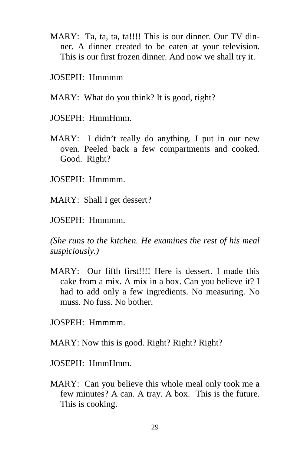- MARY: Ta, ta, ta, ta!!!! This is our dinner. Our TV dinner. A dinner created to be eaten at your television. This is our first frozen dinner. And now we shall try it.
- JOSEPH: Hmmmm
- MARY: What do you think? It is good, right?
- JOSEPH: HmmHmm.
- MARY: I didn't really do anything. I put in our new oven. Peeled back a few compartments and cooked. Good. Right?
- JOSEPH: Hmmmm.
- MARY: Shall I get dessert?
- JOSEPH: Hmmmm.

*(She runs to the kitchen. He examines the rest of his meal suspiciously.)* 

MARY: Our fifth first!!!! Here is dessert. I made this cake from a mix. A mix in a box. Can you believe it? I had to add only a few ingredients. No measuring. No muss. No fuss. No bother.

JOSPEH: Hmmmm.

MARY: Now this is good. Right? Right? Right?

JOSEPH: HmmHmm.

MARY: Can you believe this whole meal only took me a few minutes? A can. A tray. A box. This is the future. This is cooking.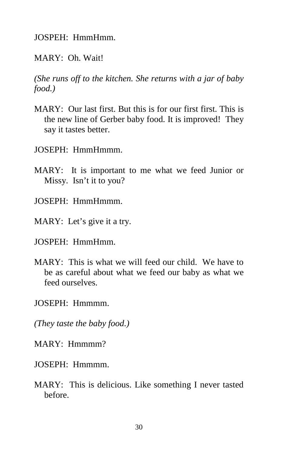JOSPEH: HmmHmm.

MARY: Oh. Wait!

*(She runs off to the kitchen. She returns with a jar of baby food.)* 

- MARY: Our last first. But this is for our first first. This is the new line of Gerber baby food. It is improved! They say it tastes better.
- JOSEPH: HmmHmmm.
- MARY: It is important to me what we feed Junior or Missy. Isn't it to you?
- JOSEPH: HmmHmmm.
- MARY: Let's give it a try.
- JOSPEH: HmmHmm.
- MARY: This is what we will feed our child. We have to be as careful about what we feed our baby as what we feed ourselves.
- JOSEPH: Hmmmm.

*(They taste the baby food.)* 

MARY: Hmmmm?

- JOSEPH: Hmmmm.
- MARY: This is delicious. Like something I never tasted before.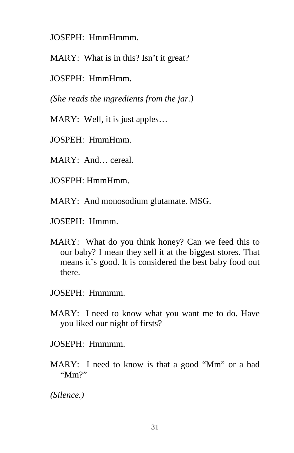JOSEPH: HmmHmmm.

MARY: What is in this? Isn't it great?

JOSEPH: HmmHmm.

*(She reads the ingredients from the jar.)* 

MARY: Well, it is just apples…

JOSPEH: HmmHmm.

MARY: And… cereal.

JOSEPH: HmmHmm.

MARY: And monosodium glutamate. MSG.

JOSEPH: Hmmm.

MARY: What do you think honey? Can we feed this to our baby? I mean they sell it at the biggest stores. That means it's good. It is considered the best baby food out there.

JOSEPH: Hmmmm.

MARY: I need to know what you want me to do. Have you liked our night of firsts?

JOSEPH: Hmmmm.

MARY: I need to know is that a good "Mm" or a bad "Mm?"

*(Silence.)*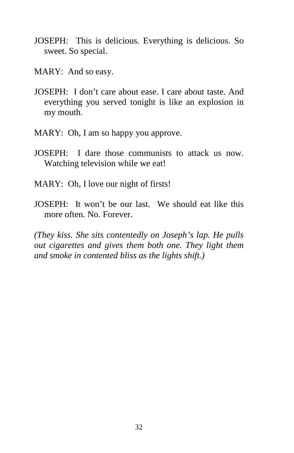- JOSEPH: This is delicious. Everything is delicious. So sweet. So special.
- MARY: And so easy.
- JOSEPH: I don't care about ease. I care about taste. And everything you served tonight is like an explosion in my mouth.
- MARY: Oh, I am so happy you approve.
- JOSEPH: I dare those communists to attack us now. Watching television while we eat!
- MARY: Oh, I love our night of firsts!
- JOSEPH: It won't be our last. We should eat like this more often. No. Forever.

*(They kiss. She sits contentedly on Joseph's lap. He pulls out cigarettes and gives them both one. They light them and smoke in contented bliss as the lights shift.)*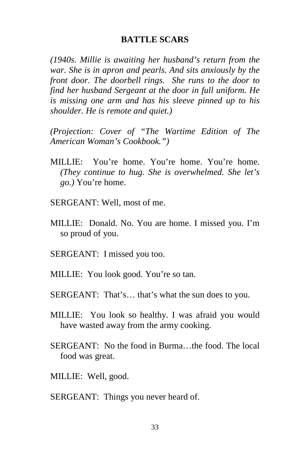#### **BATTLE SCARS**

*(1940s. Millie is awaiting her husband's return from the war. She is in apron and pearls. And sits anxiously by the front door. The doorbell rings. She runs to the door to find her husband Sergeant at the door in full uniform. He is missing one arm and has his sleeve pinned up to his shoulder. He is remote and quiet.)* 

*(Projection: Cover of "The Wartime Edition of The American Woman's Cookbook.")* 

- MILLIE: You're home. You're home. You're home. *(They continue to hug. She is overwhelmed. She let's go.)* You're home.
- SERGEANT: Well, most of me.
- MILLIE: Donald. No. You are home. I missed you. I'm so proud of you.
- SERGEANT: I missed you too.
- MILLIE: You look good. You're so tan.
- SERGEANT: That's… that's what the sun does to you.
- MILLIE: You look so healthy. I was afraid you would have wasted away from the army cooking.
- SERGEANT: No the food in Burma…the food. The local food was great.
- MILLIE: Well, good.
- SERGEANT: Things you never heard of.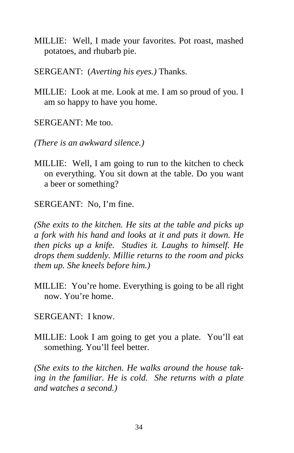- MILLIE: Well, I made your favorites. Pot roast, mashed potatoes, and rhubarb pie.
- SERGEANT: (*Averting his eyes.)* Thanks.
- MILLIE: Look at me. Look at me. I am so proud of you. I am so happy to have you home.

SERGEANT: Me too.

*(There is an awkward silence.)* 

MILLIE: Well, I am going to run to the kitchen to check on everything. You sit down at the table. Do you want a beer or something?

SERGEANT: No, I'm fine.

*(She exits to the kitchen. He sits at the table and picks up a fork with his hand and looks at it and puts it down. He then picks up a knife. Studies it. Laughs to himself. He drops them suddenly. Millie returns to the room and picks them up. She kneels before him.)* 

- MILLIE: You're home. Everything is going to be all right now. You're home.
- SERGEANT: I know.
- MILLIE: Look I am going to get you a plate. You'll eat something. You'll feel better.

*(She exits to the kitchen. He walks around the house taking in the familiar. He is cold. She returns with a plate and watches a second.)*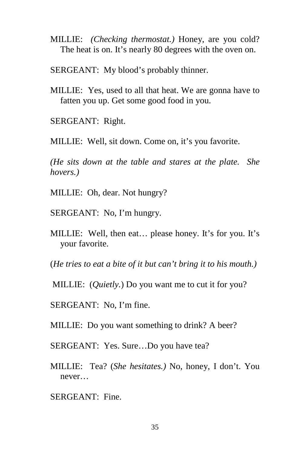- MILLIE: *(Checking thermostat.)* Honey, are you cold? The heat is on. It's nearly 80 degrees with the oven on.
- SERGEANT: My blood's probably thinner.
- MILLIE: Yes, used to all that heat. We are gonna have to fatten you up. Get some good food in you.
- SERGEANT: Right.

MILLIE: Well, sit down. Come on, it's you favorite.

*(He sits down at the table and stares at the plate. She hovers.)* 

- MILLIE: Oh, dear. Not hungry?
- SERGEANT: No, I'm hungry.
- MILLIE: Well, then eat… please honey. It's for you. It's your favorite.

(*He tries to eat a bite of it but can't bring it to his mouth.)* 

MILLIE: (*Quietly.*) Do you want me to cut it for you?

SERGEANT: No, I'm fine.

MILLIE: Do you want something to drink? A beer?

- SERGEANT: Yes. Sure…Do you have tea?
- MILLIE: Tea? (*She hesitates.)* No, honey, I don't. You never…
- SERGEANT: Fine.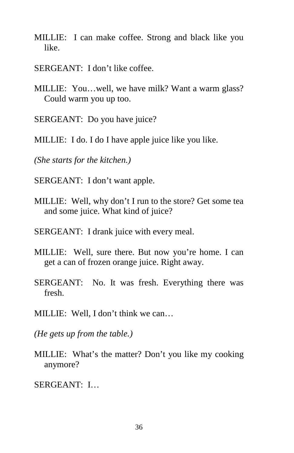- MILLIE: I can make coffee. Strong and black like you like.
- SERGEANT: I don't like coffee.
- MILLIE: You…well, we have milk? Want a warm glass? Could warm you up too.
- SERGEANT: Do you have juice?
- MILLIE: I do. I do I have apple juice like you like.

*(She starts for the kitchen.)* 

- SERGEANT: I don't want apple.
- MILLIE: Well, why don't I run to the store? Get some tea and some juice. What kind of juice?
- SERGEANT: I drank juice with every meal.
- MILLIE: Well, sure there. But now you're home. I can get a can of frozen orange juice. Right away.
- SERGEANT: No. It was fresh. Everything there was fresh.
- MILLIE: Well, I don't think we can…
- *(He gets up from the table.)*
- MILLIE: What's the matter? Don't you like my cooking anymore?
- SERGEANT: I…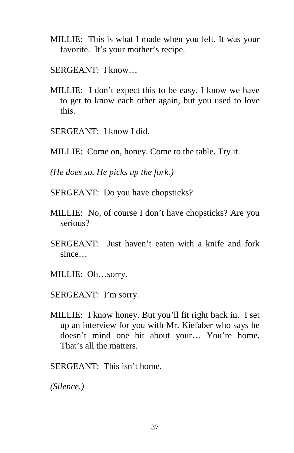- MILLIE: This is what I made when you left. It was your favorite. It's your mother's recipe.
- SERGEANT: I know…
- MILLIE: I don't expect this to be easy. I know we have to get to know each other again, but you used to love this.
- SERGEANT: I know I did.
- MILLIE: Come on, honey. Come to the table. Try it.

*(He does so. He picks up the fork.)* 

- SERGEANT: Do you have chopsticks?
- MILLIE: No, of course I don't have chopsticks? Are you serious?
- SERGEANT: Just haven't eaten with a knife and fork since…
- MILLIE: Oh…sorry.
- SERGEANT: I'm sorry.
- MILLIE: I know honey. But you'll fit right back in. I set up an interview for you with Mr. Kiefaber who says he doesn't mind one bit about your… You're home. That's all the matters.
- SERGEANT: This isn't home.

*(Silence.)*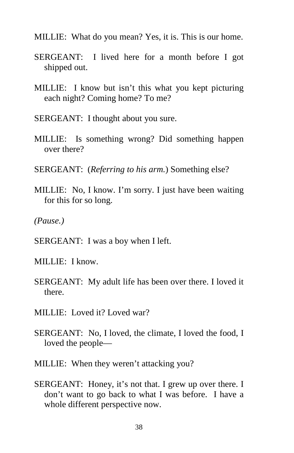- MILLIE: What do you mean? Yes, it is. This is our home.
- SERGEANT: I lived here for a month before I got shipped out.
- MILLIE: I know but isn't this what you kept picturing each night? Coming home? To me?
- SERGEANT: I thought about you sure.
- MILLIE: Is something wrong? Did something happen over there?
- SERGEANT: (*Referring to his arm.*) Something else?
- MILLIE: No, I know. I'm sorry. I just have been waiting for this for so long.
- *(Pause.)*
- SERGEANT: I was a boy when I left.
- MILLIE: I know.
- SERGEANT: My adult life has been over there. I loved it there.
- MILLIE: Loved it? Loved war?
- SERGEANT: No, I loved, the climate, I loved the food, I loved the people—
- MILLIE: When they weren't attacking you?
- SERGEANT: Honey, it's not that. I grew up over there. I don't want to go back to what I was before. I have a whole different perspective now.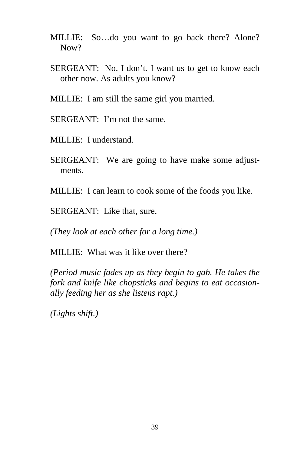- MILLIE: So…do you want to go back there? Alone? Now?
- SERGEANT: No. I don't. I want us to get to know each other now. As adults you know?
- MILLIE: I am still the same girl you married.
- SERGEANT: I'm not the same.
- MILLIE: I understand.
- SERGEANT: We are going to have make some adjustments.
- MILLIE: I can learn to cook some of the foods you like.
- SERGEANT: Like that, sure.

*(They look at each other for a long time.)* 

MILLIE: What was it like over there?

*(Period music fades up as they begin to gab. He takes the fork and knife like chopsticks and begins to eat occasionally feeding her as she listens rapt.)*

*(Lights shift.)*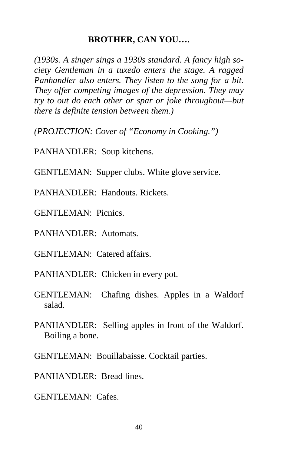## **BROTHER, CAN YOU….**

*(1930s. A singer sings a 1930s standard. A fancy high society Gentleman in a tuxedo enters the stage. A ragged Panhandler also enters. They listen to the song for a bit. They offer competing images of the depression. They may try to out do each other or spar or joke throughout—but there is definite tension between them.)* 

*(PROJECTION: Cover of "Economy in Cooking.")*

PANHANDLER: Soup kitchens.

GENTLEMAN: Supper clubs. White glove service.

PANHANDLER: Handouts. Rickets.

GENTLEMAN: Picnics.

PANHANDLER: Automats.

GENTLEMAN: Catered affairs.

PANHANDLER: Chicken in every pot.

GENTLEMAN: Chafing dishes. Apples in a Waldorf salad.

PANHANDLER: Selling apples in front of the Waldorf. Boiling a bone.

GENTLEMAN: Bouillabaisse. Cocktail parties.

PANHANDLER: Bread lines.

GENTLEMAN: Cafes.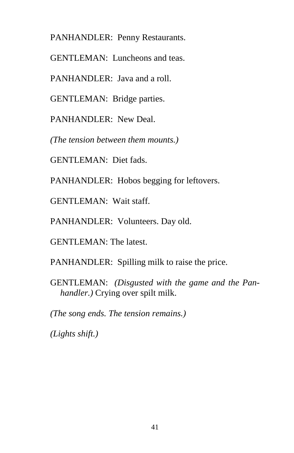PANHANDLER: Penny Restaurants.

GENTLEMAN: Luncheons and teas.

PANHANDLER: Java and a roll.

GENTLEMAN: Bridge parties.

PANHANDLER: New Deal.

*(The tension between them mounts.)* 

GENTLEMAN: Diet fads.

PANHANDLER: Hobos begging for leftovers.

GENTLEMAN: Wait staff.

PANHANDLER: Volunteers. Day old.

GENTLEMAN: The latest.

PANHANDLER: Spilling milk to raise the price.

GENTLEMAN: *(Disgusted with the game and the Panhandler.)* Crying over spilt milk.

*(The song ends. The tension remains.)* 

*(Lights shift.)*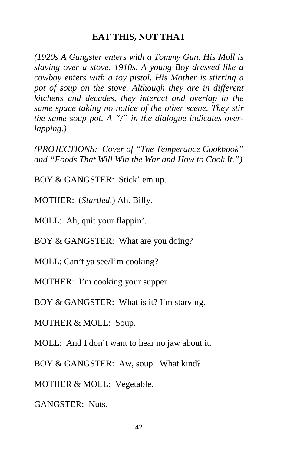#### **EAT THIS, NOT THAT**

*(1920s A Gangster enters with a Tommy Gun. His Moll is slaving over a stove. 1910s. A young Boy dressed like a cowboy enters with a toy pistol. His Mother is stirring a pot of soup on the stove. Although they are in different kitchens and decades, they interact and overlap in the same space taking no notice of the other scene. They stir the same soup pot. A "/" in the dialogue indicates overlapping.)* 

*(PROJECTIONS: Cover of "The Temperance Cookbook" and "Foods That Will Win the War and How to Cook It.")* 

BOY & GANGSTER: Stick' em up.

MOTHER: (*Startled*.) Ah. Billy.

MOLL: Ah, quit your flappin'.

BOY & GANGSTER: What are you doing?

MOLL: Can't ya see/I'm cooking?

MOTHER: I'm cooking your supper.

BOY & GANGSTER: What is it? I'm starving.

MOTHER & MOLL: Soup.

MOLL: And I don't want to hear no jaw about it.

BOY & GANGSTER: Aw, soup. What kind?

MOTHER & MOLL: Vegetable.

GANGSTER: Nuts.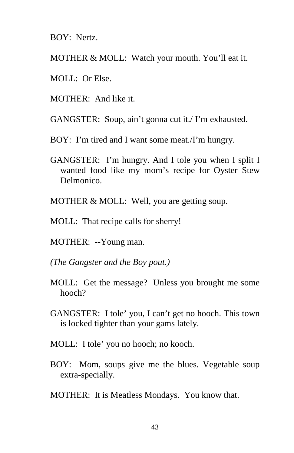BOY: Nertz.

MOTHER & MOLL: Watch your mouth. You'll eat it.

- MOLL: Or Else.
- MOTHER: And like it.

GANGSTER: Soup, ain't gonna cut it./ I'm exhausted.

BOY: I'm tired and I want some meat./I'm hungry.

- GANGSTER: I'm hungry. And I tole you when I split I wanted food like my mom's recipe for Oyster Stew Delmonico.
- MOTHER & MOLL: Well, you are getting soup.
- MOLL: That recipe calls for sherry!
- MOTHER: --Young man.
- *(The Gangster and the Boy pout.)*
- MOLL: Get the message? Unless you brought me some hooch?
- GANGSTER: I tole' you, I can't get no hooch. This town is locked tighter than your gams lately.
- MOLL: I tole' you no hooch; no kooch.
- BOY: Mom, soups give me the blues. Vegetable soup extra-specially.
- MOTHER: It is Meatless Mondays. You know that.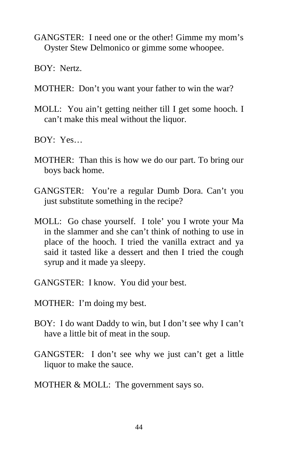- GANGSTER: I need one or the other! Gimme my mom's Oyster Stew Delmonico or gimme some whoopee.
- BOY: Nertz.
- MOTHER: Don't you want your father to win the war?
- MOLL: You ain't getting neither till I get some hooch. I can't make this meal without the liquor.
- BOY: Yes…
- MOTHER: Than this is how we do our part. To bring our boys back home.
- GANGSTER: You're a regular Dumb Dora. Can't you just substitute something in the recipe?
- MOLL: Go chase yourself. I tole' you I wrote your Ma in the slammer and she can't think of nothing to use in place of the hooch. I tried the vanilla extract and ya said it tasted like a dessert and then I tried the cough syrup and it made ya sleepy.
- GANGSTER: I know. You did your best.
- MOTHER: I'm doing my best.
- BOY: I do want Daddy to win, but I don't see why I can't have a little bit of meat in the soup.
- GANGSTER: I don't see why we just can't get a little liquor to make the sauce.
- MOTHER & MOLL: The government says so.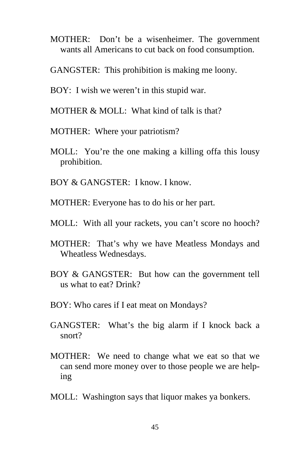- MOTHER: Don't be a wisenheimer. The government wants all Americans to cut back on food consumption.
- GANGSTER: This prohibition is making me loony.
- BOY: I wish we weren't in this stupid war.
- MOTHER & MOLL: What kind of talk is that?
- MOTHER: Where your patriotism?
- MOLL: You're the one making a killing offa this lousy prohibition.
- BOY & GANGSTER: I know. I know.
- MOTHER: Everyone has to do his or her part.
- MOLL: With all your rackets, you can't score no hooch?
- MOTHER: That's why we have Meatless Mondays and Wheatless Wednesdays.
- BOY & GANGSTER: But how can the government tell us what to eat? Drink?
- BOY: Who cares if I eat meat on Mondays?
- GANGSTER: What's the big alarm if I knock back a snort?
- MOTHER: We need to change what we eat so that we can send more money over to those people we are helping
- MOLL: Washington says that liquor makes ya bonkers.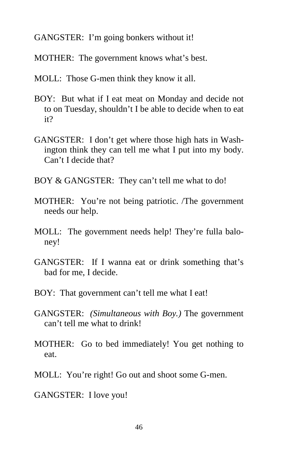GANGSTER: I'm going bonkers without it!

MOTHER: The government knows what's best.

- MOLL: Those G-men think they know it all.
- BOY: But what if I eat meat on Monday and decide not to on Tuesday, shouldn't I be able to decide when to eat it?
- GANGSTER: I don't get where those high hats in Washington think they can tell me what I put into my body. Can't I decide that?
- BOY & GANGSTER: They can't tell me what to do!
- MOTHER: You're not being patriotic. /The government needs our help.
- MOLL: The government needs help! They're fulla baloney!
- GANGSTER: If I wanna eat or drink something that's bad for me, I decide.
- BOY: That government can't tell me what I eat!
- GANGSTER: *(Simultaneous with Boy.)* The government can't tell me what to drink!
- MOTHER: Go to bed immediately! You get nothing to eat.
- MOLL: You're right! Go out and shoot some G-men.
- GANGSTER: I love you!